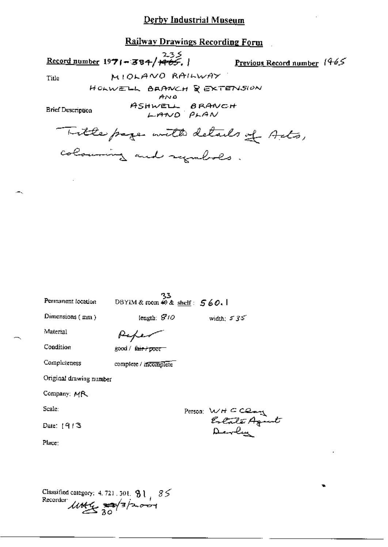# Railway Drawings Recording Form

Record number 1971-384/ <del>1965</del>.

**Previous Record number**  $1465$ 

Title

HOLWELL BRANCH & EXTENSION ANO

MIOLANO RAILWAY

**Brief Description** 

ASHWELL BRANCH<br>LAND PLAN

Title page with details of Arts, colourning and symbols.

| Permanent focation      | DBYIM & room $\neq 0$ & shelf: $560.1$ | حد |                                 |
|-------------------------|----------------------------------------|----|---------------------------------|
| Dimensions (mm)         | length: $810$                          |    | width, $535$                    |
| Material                |                                        |    |                                 |
| Condition               | good / f <del>air / poor</del>         |    |                                 |
| Completeness            | complete / incomplete                  |    |                                 |
| Original drawing number |                                        |    |                                 |
| Company: MR             |                                        |    |                                 |
| Scale:                  |                                        |    |                                 |
| Date: $1913$            |                                        |    | Person: WHCClay<br>Estate Agent |
| Place:                  |                                        |    |                                 |
|                         |                                        |    |                                 |
|                         |                                        |    |                                 |
|                         |                                        |    |                                 |

Classified category: 4.721.301. 81, 85<br>Recorder  $\mu$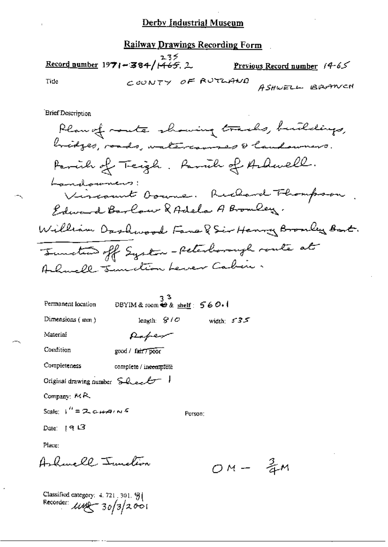Railway Drawings Recording Form

 $\frac{2.35}{\text{Record number}}$  1971-384/1465.2 Previous Record number 14-65 COUNTY OF RUTLAND Tide ASHWELL BRANCH

Brief Description

 $\frac{3}{4}$ M

| Permanent location                                     | DBYIM & room $\oplus$ & shelf: $560.1$ | ვ3      |              |
|--------------------------------------------------------|----------------------------------------|---------|--------------|
| Dimensions $(mm)$                                      | length: $\mathcal{G}/\mathcal{O}$      |         | width: $535$ |
| Material                                               | Raper                                  |         |              |
| Condition                                              | good / fan 7 poor                      |         |              |
| Completeness                                           | complete / incomplete                  |         |              |
| Original drawing number $SLackf^{-}$                   |                                        |         |              |
| Company: $MR$                                          |                                        |         |              |
| Scale: $\frac{1}{1}$ = 2 c $\frac{1}{4}$ $\frac{1}{2}$ |                                        | Person: |              |
| Date: $913$                                            |                                        |         |              |
| Place:                                                 |                                        |         |              |
| Ashmell Junction                                       |                                        |         |              |

Classified category: 4.721, 301.  $\frac{9}{3}$ <br>Recorder:  $\frac{100}{30}$  30/3/2001

J.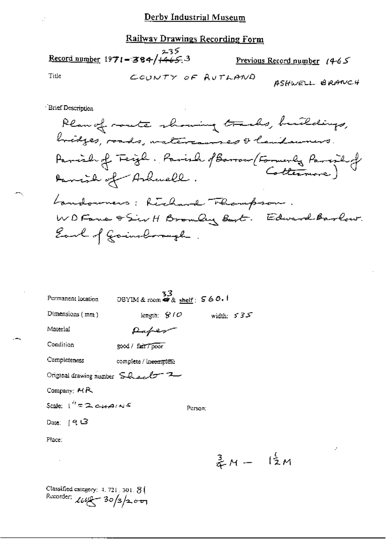#### Railway Drawings Recording Form

235 Record number 1971-384/ $+465.3$ Previous Record number  $(4-65)$ Title COUNTY OF AUTLAND ASHWELL BRANCH

**Brief Description** 

Plan of monte showing tracks, buildings, bridges, roads, watercourses & landsurers Parish of Teight. Parish of Barrow (Formerly Parish of Danish of Ashwell. Landowners: Richard Thompson. WD Fane & Sir H Bromly Bart. Edward Barlow. Earl of Goinsborough.

| Permanent location                              | 33<br>OBYIM & room #8 & shelf: $560.1$ |                            |                               |  |
|-------------------------------------------------|----------------------------------------|----------------------------|-------------------------------|--|
| Dimensions $(mn)$                               |                                        | length: $G/O$ width: $535$ |                               |  |
| Material                                        | Paper                                  |                            |                               |  |
| Condition                                       | good / fair / poor                     |                            |                               |  |
| Completeness                                    | complete / incomplete                  |                            |                               |  |
| Original drawing number $\ S$ has $\ell\tau$    |                                        |                            |                               |  |
| Company: MR                                     |                                        |                            |                               |  |
| Scale: ا <sup>لا</sup> = <del>ک دینم</del> (من≤ |                                        | Person:                    |                               |  |
| Date: ∫9t L3                                    |                                        |                            |                               |  |
| Place:                                          |                                        |                            |                               |  |
|                                                 |                                        |                            | $\frac{3}{4}M - \frac{1}{2}M$ |  |

Classified category: 4, 721, 301, 8 ( Recorder:  $\text{LUP} - 30/3/200$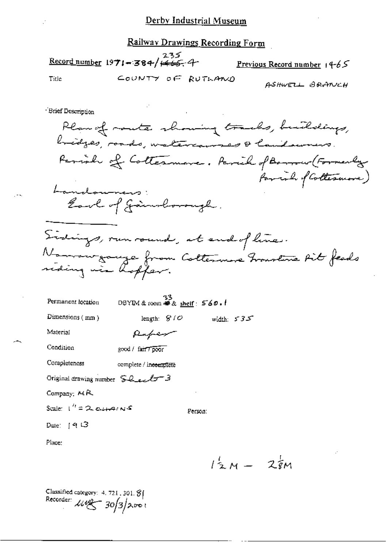Railway Drawings Recording Form

235<br><mark>Record number</mark> 19**71-384/<del>1465.</del>4** 

Previous Record number  $14-65$ 

Title

COUNTY OF RUTHAND

ASHWELL BRANCH

- Brief Description

Plan of moute showing tracks, buildings, bridges, roads, watercourses & laudowners. Parish of Cottesmore. Parish of Benner (Formerly favoral of Collesnone) Landouners: Earl of Jainsborough. Sidings, run round, at end of line. Nommengouze from Coltenance France Fit feeds<br>siding wie hopfer. 33<br>DBYIM & room  $\otimes$  shelf:  $560.1$ Permanent location length:  $810$ width:  $535$ 

Dimensions (mm)

Raper

Person:

Material

Condition good / fair 7 poor

Completeness complete / incomplete

Original drawing number Sheel - 3

Company: MR

Scale:  $1'' = 2$ ,  $\alpha \mu \rightarrow \alpha s$ 

Date: ⊺9 L3

Place:

 $l_{2M}^{2}$  –  $2\frac{1}{8}$ M

Classified category: 4, 721, 301. 8 Recorder:  $\mu$ eg 30/3/2001